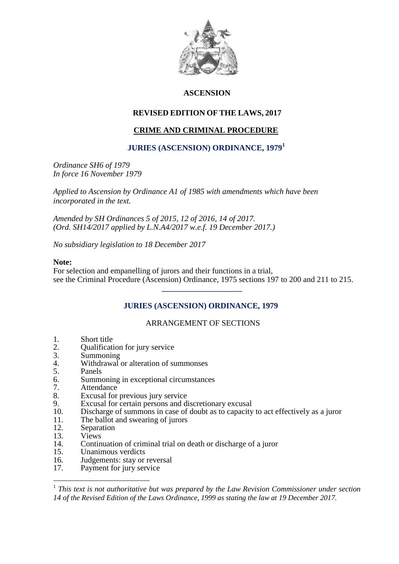

## **ASCENSION**

## **REVISED EDITION OF THE LAWS, 2017**

# **CRIME AND CRIMINAL PROCEDURE**

### **JURIES (ASCENSION) ORDINANCE, 1979<sup>1</sup>**

*Ordinance SH6 of 1979 In force 16 November 1979*

*Applied to Ascension by Ordinance A1 of 1985 with amendments which have been incorporated in the text.*

*Amended by SH Ordinances 5 of 2015, 12 of 2016, 14 of 2017. (Ord. SH14/2017 applied by L.N.A4/2017 w.e.f. 19 December 2017.)*

*No subsidiary legislation to 18 December 2017*

 **\_\_\_\_\_\_\_\_\_\_\_\_\_\_\_\_\_\_\_\_**

### **Note:**

For selection and empanelling of jurors and their functions in a trial, see the Criminal Procedure (Ascension) Ordinance, 1975 sections 197 to 200 and 211 to 215.

## **JURIES (ASCENSION) ORDINANCE, 1979**

### ARRANGEMENT OF SECTIONS

- 1. Short title<br>2. Oualificati
- 2. Qualification for jury service<br>3. Summoning
- 3. Summoning<br>4 Withdrawal
- 4. Withdrawal or alteration of summonses<br>5. Panels
- 5. Panels<br>6. Summo
- 6. Summoning in exceptional circumstances
- 7. Attendance<br>8. Excusal for
- Excusal for previous jury service
- 9. Excusal for certain persons and discretionary excusal
- 10. Discharge of summons in case of doubt as to capacity to act effectively as a juror
- 11. The ballot and swearing of jurors<br>12. Separation
- 12. Separation<br>13. Views
- 13. Views<br>14. Contin

1

- 14. Continuation of criminal trial on death or discharge of a juror<br>15. Unanimous verdicts
- 15. Unanimous verdicts<br>16. Judgements: stay or
- 16. Judgements: stay or reversal<br>17 Payment for jury service
- Payment for jury service

<sup>&</sup>lt;sup>1</sup> This text is not authoritative but was prepared by the Law Revision Commissioner under section *14 of the Revised Edition of the Laws Ordinance, 1999 as stating the law at 19 December 2017.*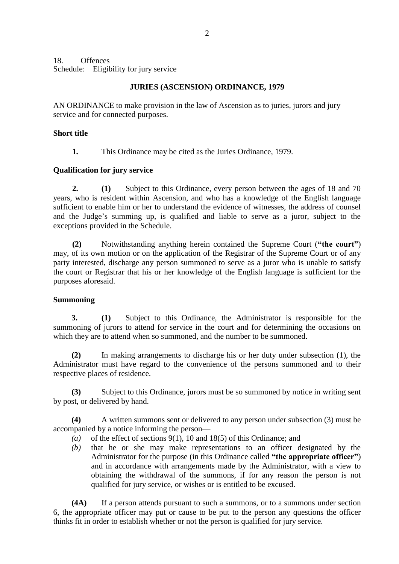18. Offences Schedule: Eligibility for jury service

### **JURIES (ASCENSION) ORDINANCE, 1979**

AN ORDINANCE to make provision in the law of Ascension as to juries, jurors and jury service and for connected purposes.

### **Short title**

**1.** This Ordinance may be cited as the Juries Ordinance, 1979.

### **Qualification for jury service**

**2. (1)** Subject to this Ordinance, every person between the ages of 18 and 70 years, who is resident within Ascension, and who has a knowledge of the English language sufficient to enable him or her to understand the evidence of witnesses, the address of counsel and the Judge's summing up, is qualified and liable to serve as a juror, subject to the exceptions provided in the Schedule.

**(2)** Notwithstanding anything herein contained the Supreme Court (**"the court"**) may, of its own motion or on the application of the Registrar of the Supreme Court or of any party interested, discharge any person summoned to serve as a juror who is unable to satisfy the court or Registrar that his or her knowledge of the English language is sufficient for the purposes aforesaid.

### **Summoning**

**3. (1)** Subject to this Ordinance, the Administrator is responsible for the summoning of jurors to attend for service in the court and for determining the occasions on which they are to attend when so summoned, and the number to be summoned.

**(2)** In making arrangements to discharge his or her duty under subsection (1), the Administrator must have regard to the convenience of the persons summoned and to their respective places of residence.

**(3)** Subject to this Ordinance, jurors must be so summoned by notice in writing sent by post, or delivered by hand.

**(4)** A written summons sent or delivered to any person under subsection (3) must be accompanied by a notice informing the person—

- *(a)* of the effect of sections 9(1), 10 and 18(5) of this Ordinance; and
- *(b)* that he or she may make representations to an officer designated by the Administrator for the purpose (in this Ordinance called **"the appropriate officer"**) and in accordance with arrangements made by the Administrator, with a view to obtaining the withdrawal of the summons, if for any reason the person is not qualified for jury service, or wishes or is entitled to be excused.

**(4A)** If a person attends pursuant to such a summons, or to a summons under section 6, the appropriate officer may put or cause to be put to the person any questions the officer thinks fit in order to establish whether or not the person is qualified for jury service.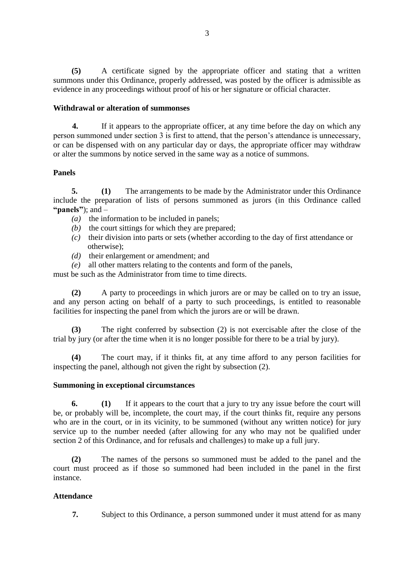**(5)** A certificate signed by the appropriate officer and stating that a written summons under this Ordinance, properly addressed, was posted by the officer is admissible as evidence in any proceedings without proof of his or her signature or official character.

### **Withdrawal or alteration of summonses**

**4.** If it appears to the appropriate officer, at any time before the day on which any person summoned under section 3 is first to attend, that the person's attendance is unnecessary, or can be dispensed with on any particular day or days, the appropriate officer may withdraw or alter the summons by notice served in the same way as a notice of summons.

## **Panels**

**5. (1)** The arrangements to be made by the Administrator under this Ordinance include the preparation of lists of persons summoned as jurors (in this Ordinance called **"panels"**); and –

- *(a)* the information to be included in panels;
- *(b)* the court sittings for which they are prepared;
- *(c)* their division into parts or sets (whether according to the day of first attendance or otherwise);
- *(d)* their enlargement or amendment; and
- *(e)* all other matters relating to the contents and form of the panels,

must be such as the Administrator from time to time directs.

**(2)** A party to proceedings in which jurors are or may be called on to try an issue, and any person acting on behalf of a party to such proceedings, is entitled to reasonable facilities for inspecting the panel from which the jurors are or will be drawn.

**(3)** The right conferred by subsection (2) is not exercisable after the close of the trial by jury (or after the time when it is no longer possible for there to be a trial by jury).

**(4)** The court may, if it thinks fit, at any time afford to any person facilities for inspecting the panel, although not given the right by subsection (2).

### **Summoning in exceptional circumstances**

**6. (1)** If it appears to the court that a jury to try any issue before the court will be, or probably will be, incomplete, the court may, if the court thinks fit, require any persons who are in the court, or in its vicinity, to be summoned (without any written notice) for jury service up to the number needed (after allowing for any who may not be qualified under section 2 of this Ordinance, and for refusals and challenges) to make up a full jury.

**(2)** The names of the persons so summoned must be added to the panel and the court must proceed as if those so summoned had been included in the panel in the first instance.

## **Attendance**

**7.** Subject to this Ordinance, a person summoned under it must attend for as many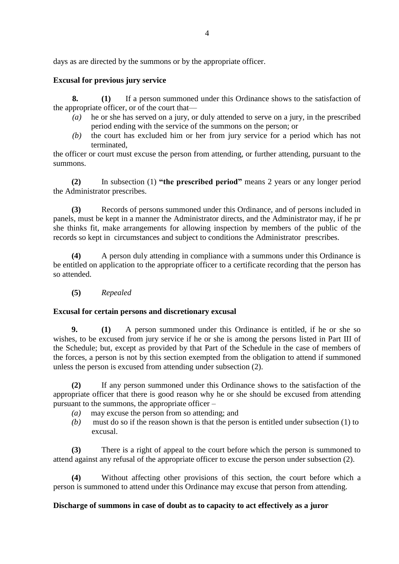days as are directed by the summons or by the appropriate officer.

# **Excusal for previous jury service**

**8. (1)** If a person summoned under this Ordinance shows to the satisfaction of the appropriate officer, or of the court that—

- *(a)* he or she has served on a jury, or duly attended to serve on a jury, in the prescribed period ending with the service of the summons on the person; or
- *(b)* the court has excluded him or her from jury service for a period which has not terminated,

the officer or court must excuse the person from attending, or further attending, pursuant to the summons.

**(2)** In subsection (1) **"the prescribed period"** means 2 years or any longer period the Administrator prescribes.

**(3)** Records of persons summoned under this Ordinance, and of persons included in panels, must be kept in a manner the Administrator directs, and the Administrator may, if he pr she thinks fit, make arrangements for allowing inspection by members of the public of the records so kept in circumstances and subject to conditions the Administrator prescribes.

**(4)** A person duly attending in compliance with a summons under this Ordinance is be entitled on application to the appropriate officer to a certificate recording that the person has so attended.

**(5)** *Repealed*

## **Excusal for certain persons and discretionary excusal**

**9. (1)** A person summoned under this Ordinance is entitled, if he or she so wishes, to be excused from jury service if he or she is among the persons listed in Part III of the Schedule; but, except as provided by that Part of the Schedule in the case of members of the forces, a person is not by this section exempted from the obligation to attend if summoned unless the person is excused from attending under subsection (2).

**(2)** If any person summoned under this Ordinance shows to the satisfaction of the appropriate officer that there is good reason why he or she should be excused from attending pursuant to the summons, the appropriate officer –

- *(a)* may excuse the person from so attending; and
- *(b)* must do so if the reason shown is that the person is entitled under subsection (1) to excusal.

**(3)** There is a right of appeal to the court before which the person is summoned to attend against any refusal of the appropriate officer to excuse the person under subsection (2).

**(4)** Without affecting other provisions of this section, the court before which a person is summoned to attend under this Ordinance may excuse that person from attending.

## **Discharge of summons in case of doubt as to capacity to act effectively as a juror**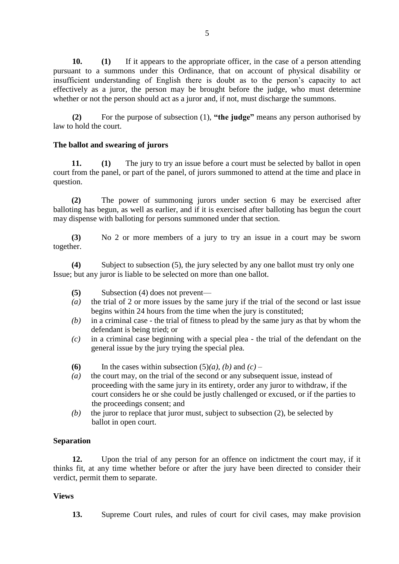**10. (1)** If it appears to the appropriate officer, in the case of a person attending pursuant to a summons under this Ordinance, that on account of physical disability or insufficient understanding of English there is doubt as to the person's capacity to act effectively as a juror, the person may be brought before the judge, who must determine whether or not the person should act as a juror and, if not, must discharge the summons.

**(2)** For the purpose of subsection (1), **"the judge"** means any person authorised by law to hold the court.

### **The ballot and swearing of jurors**

**11. (1)** The jury to try an issue before a court must be selected by ballot in open court from the panel, or part of the panel, of jurors summoned to attend at the time and place in question.

**(2)** The power of summoning jurors under section 6 may be exercised after balloting has begun, as well as earlier, and if it is exercised after balloting has begun the court may dispense with balloting for persons summoned under that section.

**(3)** No 2 or more members of a jury to try an issue in a court may be sworn together.

**(4)** Subject to subsection (5), the jury selected by any one ballot must try only one Issue; but any juror is liable to be selected on more than one ballot.

- **(5)** Subsection (4) does not prevent—
- *(a)* the trial of 2 or more issues by the same jury if the trial of the second or last issue begins within 24 hours from the time when the jury is constituted;
- *(b)* in a criminal case the trial of fitness to plead by the same jury as that by whom the defendant is being tried; or
- *(c)* in a criminal case beginning with a special plea the trial of the defendant on the general issue by the jury trying the special plea.
- **(6)** In the cases within subsection  $(5)(a)$ ,  $(b)$  and  $(c)$  –
- *(a)* the court may, on the trial of the second or any subsequent issue, instead of proceeding with the same jury in its entirety, order any juror to withdraw, if the court considers he or she could be justly challenged or excused, or if the parties to the proceedings consent; and
- *(b)* the juror to replace that juror must, subject to subsection (2), be selected by ballot in open court.

### **Separation**

**12.** Upon the trial of any person for an offence on indictment the court may, if it thinks fit, at any time whether before or after the jury have been directed to consider their verdict, permit them to separate.

### **Views**

**13.** Supreme Court rules, and rules of court for civil cases, may make provision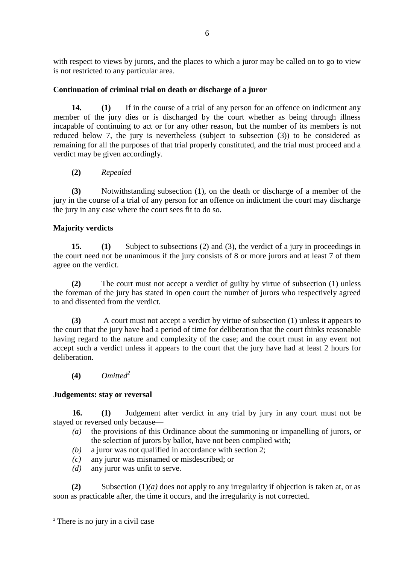with respect to views by jurors, and the places to which a juror may be called on to go to view is not restricted to any particular area.

# **Continuation of criminal trial on death or discharge of a juror**

**14. (1)** If in the course of a trial of any person for an offence on indictment any member of the jury dies or is discharged by the court whether as being through illness incapable of continuing to act or for any other reason, but the number of its members is not reduced below 7, the jury is nevertheless (subject to subsection (3)) to be considered as remaining for all the purposes of that trial properly constituted, and the trial must proceed and a verdict may be given accordingly.

# **(2)** *Repealed*

**(3)** Notwithstanding subsection (1), on the death or discharge of a member of the jury in the course of a trial of any person for an offence on indictment the court may discharge the jury in any case where the court sees fit to do so.

# **Majority verdicts**

**15. (1)** Subject to subsections (2) and (3), the verdict of a jury in proceedings in the court need not be unanimous if the jury consists of 8 or more jurors and at least 7 of them agree on the verdict.

**(2)** The court must not accept a verdict of guilty by virtue of subsection (1) unless the foreman of the jury has stated in open court the number of jurors who respectively agreed to and dissented from the verdict.

**(3)** A court must not accept a verdict by virtue of subsection (1) unless it appears to the court that the jury have had a period of time for deliberation that the court thinks reasonable having regard to the nature and complexity of the case; and the court must in any event not accept such a verdict unless it appears to the court that the jury have had at least 2 hours for deliberation.

**(4)** *Omitted<sup>2</sup>*

## **Judgements: stay or reversal**

**16. (1)** Judgement after verdict in any trial by jury in any court must not be stayed or reversed only because—

- *(a)* the provisions of this Ordinance about the summoning or impanelling of jurors, or the selection of jurors by ballot, have not been complied with;
- *(b)* a juror was not qualified in accordance with section 2;
- *(c)* any juror was misnamed or misdescribed; or
- *(d)* any juror was unfit to serve.

**(2)** Subsection (1)*(a)* does not apply to any irregularity if objection is taken at, or as soon as practicable after, the time it occurs, and the irregularity is not corrected.

1

<sup>&</sup>lt;sup>2</sup> There is no jury in a civil case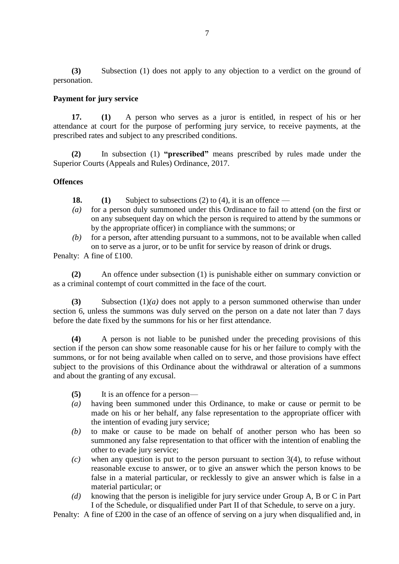**(3)** Subsection (1) does not apply to any objection to a verdict on the ground of personation.

### **Payment for jury service**

**17. (1)** A person who serves as a juror is entitled, in respect of his or her attendance at court for the purpose of performing jury service, to receive payments, at the prescribed rates and subject to any prescribed conditions.

**(2)** In subsection (1) **"prescribed"** means prescribed by rules made under the Superior Courts (Appeals and Rules) Ordinance, 2017.

### **Offences**

**18. (1)** Subject to subsections (2) to (4), it is an offence —

- *(a)* for a person duly summoned under this Ordinance to fail to attend (on the first or on any subsequent day on which the person is required to attend by the summons or by the appropriate officer) in compliance with the summons; or
- *(b)* for a person, after attending pursuant to a summons, not to be available when called on to serve as a juror, or to be unfit for service by reason of drink or drugs.

Penalty: A fine of £100.

**(2)** An offence under subsection (1) is punishable either on summary conviction or as a criminal contempt of court committed in the face of the court.

**(3)** Subsection (1)*(a)* does not apply to a person summoned otherwise than under section 6, unless the summons was duly served on the person on a date not later than 7 days before the date fixed by the summons for his or her first attendance.

**(4)** A person is not liable to be punished under the preceding provisions of this section if the person can show some reasonable cause for his or her failure to comply with the summons, or for not being available when called on to serve, and those provisions have effect subject to the provisions of this Ordinance about the withdrawal or alteration of a summons and about the granting of any excusal.

- **(5)** It is an offence for a person—
- *(a)* having been summoned under this Ordinance, to make or cause or permit to be made on his or her behalf, any false representation to the appropriate officer with the intention of evading jury service;
- *(b)* to make or cause to be made on behalf of another person who has been so summoned any false representation to that officer with the intention of enabling the other to evade jury service;
- *(c)* when any question is put to the person pursuant to section 3(4), to refuse without reasonable excuse to answer, or to give an answer which the person knows to be false in a material particular, or recklessly to give an answer which is false in a material particular; or
- *(d)* knowing that the person is ineligible for jury service under Group A, B or C in Part I of the Schedule, or disqualified under Part II of that Schedule, to serve on a jury.

Penalty: A fine of £200 in the case of an offence of serving on a jury when disqualified and, in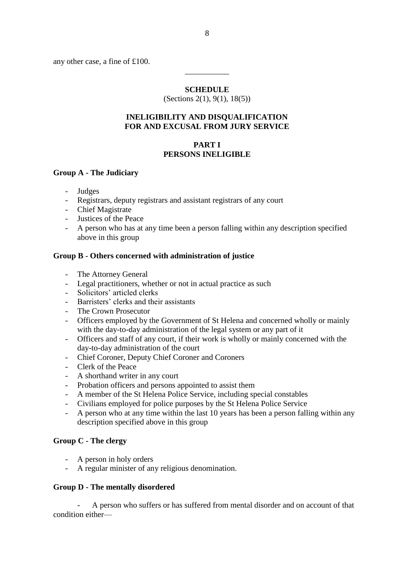any other case, a fine of £100.

#### **SCHEDULE**

\_\_\_\_\_\_\_\_\_\_\_

(Sections 2(1), 9(1), 18(5))

#### **INELIGIBILITY AND DISQUALIFICATION FOR AND EXCUSAL FROM JURY SERVICE**

### **PART I PERSONS INELIGIBLE**

### **Group A - The Judiciary**

- **Judges**
- Registrars, deputy registrars and assistant registrars of any court
- Chief Magistrate
- Justices of the Peace
- A person who has at any time been a person falling within any description specified above in this group

### **Group B - Others concerned with administration of justice**

- The Attorney General
- Legal practitioners, whether or not in actual practice as such
- Solicitors' articled clerks
- Barristers' clerks and their assistants
- The Crown Prosecutor
- Officers employed by the Government of St Helena and concerned wholly or mainly with the day-to-day administration of the legal system or any part of it
- Officers and staff of any court, if their work is wholly or mainly concerned with the day-to-day administration of the court
- Chief Coroner, Deputy Chief Coroner and Coroners
- Clerk of the Peace
- A shorthand writer in any court
- Probation officers and persons appointed to assist them
- A member of the St Helena Police Service, including special constables
- Civilians employed for police purposes by the St Helena Police Service
- A person who at any time within the last 10 years has been a person falling within any description specified above in this group

## **Group C - The clergy**

- A person in holy orders
- A regular minister of any religious denomination.

## **Group D - The mentally disordered**

- A person who suffers or has suffered from mental disorder and on account of that condition either—